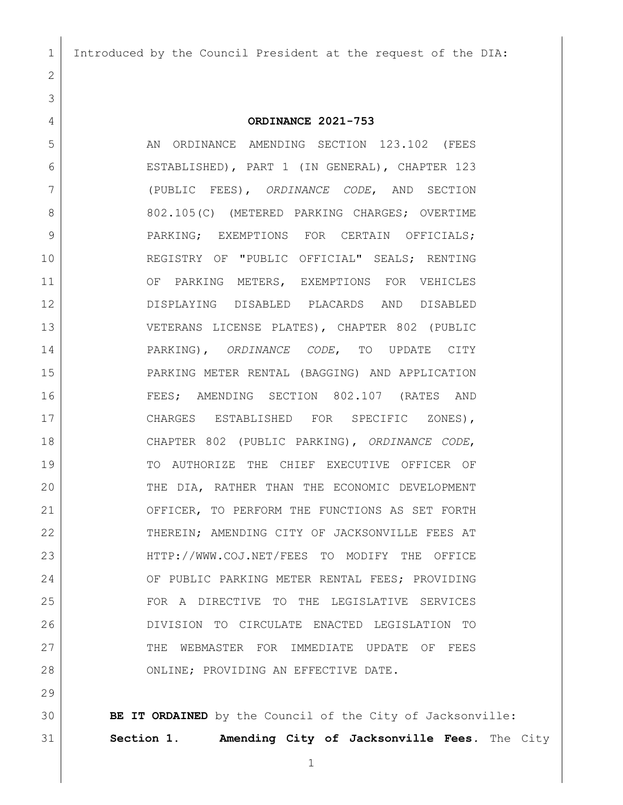## **ORDINANCE 2021-753**

5 AN ORDINANCE AMENDING SECTION 123.102 (FEES ESTABLISHED), PART 1 (IN GENERAL), CHAPTER 123 (PUBLIC FEES), *ORDINANCE CODE*, AND SECTION 8 802.105(C) (METERED PARKING CHARGES; OVERTIME 9 | PARKING; EXEMPTIONS FOR CERTAIN OFFICIALS; REGISTRY OF "PUBLIC OFFICIAL" SEALS; RENTING 11 OF PARKING METERS, EXEMPTIONS FOR VEHICLES DISPLAYING DISABLED PLACARDS AND DISABLED VETERANS LICENSE PLATES), CHAPTER 802 (PUBLIC PARKING), *ORDINANCE CODE*, TO UPDATE CITY PARKING METER RENTAL (BAGGING) AND APPLICATION FEES; AMENDING SECTION 802.107 (RATES AND 17 CHARGES ESTABLISHED FOR SPECIFIC ZONES), CHAPTER 802 (PUBLIC PARKING), *ORDINANCE CODE*, TO AUTHORIZE THE CHIEF EXECUTIVE OFFICER OF THE DIA, RATHER THAN THE ECONOMIC DEVELOPMENT 21 OFFICER, TO PERFORM THE FUNCTIONS AS SET FORTH THEREIN; AMENDING CITY OF JACKSONVILLE FEES AT [HTTP://WWW.COJ.NET/FEES](http://www.coj.net/fees) TO MODIFY THE OFFICE 24 OF PUBLIC PARKING METER RENTAL FEES; PROVIDING FOR A DIRECTIVE TO THE LEGISLATIVE SERVICES DIVISION TO CIRCULATE ENACTED LEGISLATION TO 27 THE WEBMASTER FOR IMMEDIATE UPDATE OF FEES 28 ONLINE; PROVIDING AN EFFECTIVE DATE.

 **BE IT ORDAINED** by the Council of the City of Jacksonville: **Section 1. Amending City of Jacksonville Fees***.* The City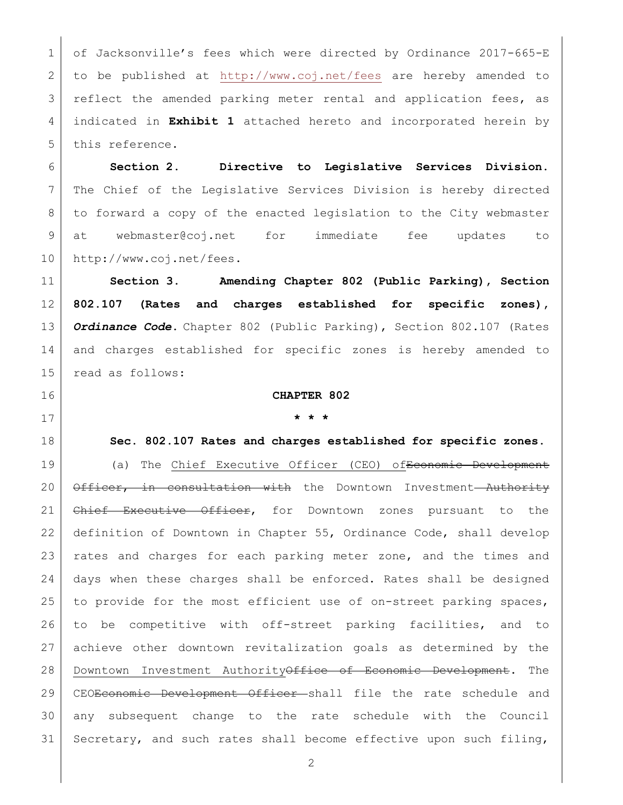1 of Jacksonville's fees which were directed by Ordinance 2017-665-E to be published at <http://www.coj.net/fees> are hereby amended to reflect the amended parking meter rental and application fees, as indicated in **Exhibit 1** attached hereto and incorporated herein by 5 this reference.

 **Section 2. Directive to Legislative Services Division.** The Chief of the Legislative Services Division is hereby directed to forward a copy of the enacted legislation to the City webmaster at [webmaster@coj.net](mailto:webmaster@coj.net) for immediate fee updates to [http://www.coj.net/fees.](http://www.coj.net/fees)

 **Section 3. Amending Chapter 802 (Public Parking), Section 802.107 (Rates and charges established for specific zones),** *Ordinance Code***.** Chapter 802 (Public Parking), Section 802.107 (Rates and charges established for specific zones is hereby amended to read as follows:

## **CHAPTER 802**

## **\* \* \***

## **Sec. 802.107 Rates and charges established for specific zones.**

19 (a) The Chief Executive Officer (CEO) of Economic Development 20 | Officer, in consultation with the Downtown Investment Authority 21 Chief Executive Officer, for Downtown zones pursuant to the definition of Downtown in Chapter 55, Ordinance Code, shall develop 23 | rates and charges for each parking meter zone, and the times and days when these charges shall be enforced. Rates shall be designed 25 to provide for the most efficient use of on-street parking spaces, to be competitive with off-street parking facilities, and to achieve other downtown revitalization goals as determined by the 28 | Downtown Investment AuthorityOffice of Economic Development. The 29 | CEO<del>Economic Development Officer s</del>hall file the rate schedule and any subsequent change to the rate schedule with the Council 31 Secretary, and such rates shall become effective upon such filing,